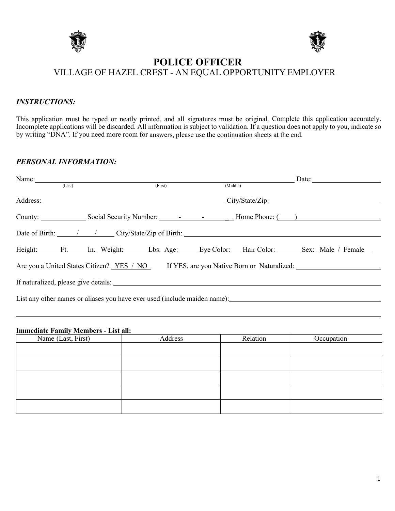



# **POLICE OFFICER** VILLAGE OF HAZEL CREST - AN EQUAL OPPORTUNITY EMPLOYER

#### *INSTRUCTIONS:*

This application must be typed or neatly printed, and all signatures must be original. Complete this application accurately. Incomplete applications will be discarded. All information is subject to validation. If a question does not apply to you, indicate so by writing "DNA". If you need more room for answers, please use the continuation sheets at the end.

### *PERSONAL INFORMATION:*

| Name:  |                                                                                       |          | $\frac{1}{2}$ Date: |
|--------|---------------------------------------------------------------------------------------|----------|---------------------|
| (Last) | (First)                                                                               | (Middle) |                     |
|        | Address: City/State/Zip:                                                              |          |                     |
|        |                                                                                       |          |                     |
|        |                                                                                       |          |                     |
|        | Height: Ft. In. Weight: Lbs. Age: Eye Color: Hair Color: Sex: Male / Female           |          |                     |
|        | Are you a United States Citizen? YES / NO If YES, are you Native Born or Naturalized: |          |                     |
|        | If naturalized, please give details:                                                  |          |                     |
|        | List any other names or aliases you have ever used (include maiden name):             |          |                     |
|        |                                                                                       |          |                     |

#### **Immediate Family Members - List all:**

| Name (Last, First) | Address | Relation | Occupation |
|--------------------|---------|----------|------------|
|                    |         |          |            |
|                    |         |          |            |
|                    |         |          |            |
|                    |         |          |            |
|                    |         |          |            |
|                    |         |          |            |
|                    |         |          |            |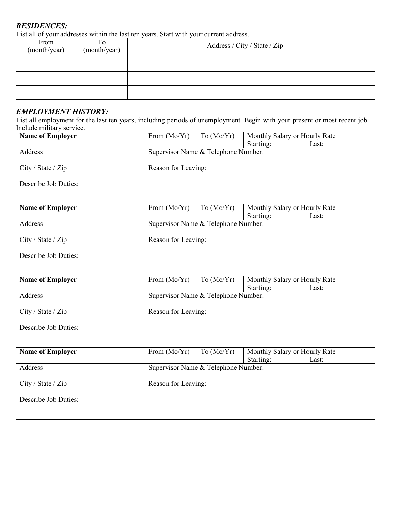# *RESIDENCES:*

List all of your addresses within the last ten years. Start with your current address.

| From<br>(month/year) | To<br>(month/year) | Address / City / State / Zip |
|----------------------|--------------------|------------------------------|
|                      |                    |                              |
|                      |                    |                              |
|                      |                    |                              |

## *EMPLOYMENT HISTORY:*

List all employment for the last ten years, including periods of unemployment. Begin with your present or most recent job. Include military service.

| <b>Name of Employer</b> | From (Mo/Yr)                        | To $(Mo/Yr)$ | Monthly Salary or Hourly Rate<br>Starting:<br>Last: |  |  |
|-------------------------|-------------------------------------|--------------|-----------------------------------------------------|--|--|
| Address                 | Supervisor Name & Telephone Number: |              |                                                     |  |  |
| City / State / Zip      | Reason for Leaving:                 |              |                                                     |  |  |
| Describe Job Duties:    |                                     |              |                                                     |  |  |
|                         |                                     |              |                                                     |  |  |
| <b>Name of Employer</b> | From (Mo/Yr)                        | To $(Mo/Yr)$ | Monthly Salary or Hourly Rate<br>Starting:<br>Last: |  |  |
| Address                 | Supervisor Name & Telephone Number: |              |                                                     |  |  |
| City / State / Zip      | Reason for Leaving:                 |              |                                                     |  |  |
| Describe Job Duties:    |                                     |              |                                                     |  |  |
|                         |                                     |              |                                                     |  |  |
| <b>Name of Employer</b> | From $(Mo/Yr)$                      | To $(Mo/Yr)$ | Monthly Salary or Hourly Rate<br>Starting:<br>Last: |  |  |
| Address                 | Supervisor Name & Telephone Number: |              |                                                     |  |  |
| City / State / Zip      | Reason for Leaving:                 |              |                                                     |  |  |
| Describe Job Duties:    |                                     |              |                                                     |  |  |
|                         |                                     |              |                                                     |  |  |
| <b>Name of Employer</b> | From (Mo/Yr)                        | To $(Mo/Yr)$ | Monthly Salary or Hourly Rate<br>Starting:<br>Last: |  |  |
| Address                 | Supervisor Name & Telephone Number: |              |                                                     |  |  |
| City / State / Zip      | Reason for Leaving:                 |              |                                                     |  |  |
| Describe Job Duties:    |                                     |              |                                                     |  |  |
|                         |                                     |              |                                                     |  |  |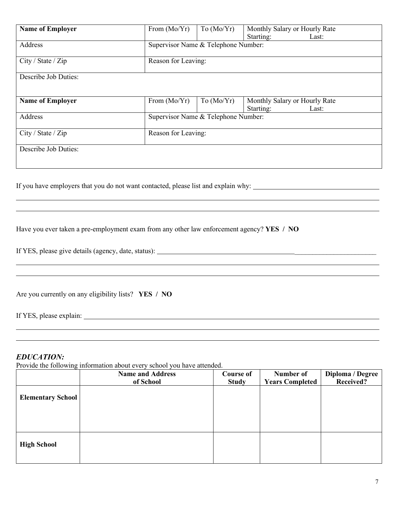| <b>Name of Employer</b> | From $(Mo/Yr)$                      | To $(Mo/Yr)$ | Monthly Salary or Hourly Rate |
|-------------------------|-------------------------------------|--------------|-------------------------------|
|                         |                                     |              | Starting:<br>Last:            |
| Address                 | Supervisor Name & Telephone Number: |              |                               |
|                         |                                     |              |                               |
| City / State / Zip      | Reason for Leaving:                 |              |                               |
|                         |                                     |              |                               |
| Describe Job Duties:    |                                     |              |                               |
|                         |                                     |              |                               |
|                         |                                     |              |                               |
| <b>Name of Employer</b> | From $(Mo/Yr)$                      | To $(Mo/Yr)$ | Monthly Salary or Hourly Rate |
|                         |                                     |              | Starting:<br>Last:            |
| Address                 | Supervisor Name & Telephone Number: |              |                               |
|                         |                                     |              |                               |
| City / State / Zip      | Reason for Leaving:                 |              |                               |
|                         |                                     |              |                               |
|                         |                                     |              |                               |
| Describe Job Duties:    |                                     |              |                               |
|                         |                                     |              |                               |
|                         |                                     |              |                               |

If you have employers that you do not want contacted, please list and explain why:

| Have you ever taken a pre-employment exam from any other law enforcement agency? YES / NO |  |  |
|-------------------------------------------------------------------------------------------|--|--|
|                                                                                           |  |  |

If YES, please give details (agency, date, status): \_\_\_\_\_\_\_\_\_\_\_\_\_\_\_\_\_\_\_\_\_\_\_

Are you currently on any eligibility lists? **YES / NO**

If YES, please explain:

#### *EDUCATION:*

Provide the following information about every school you have attended.

|                          | <b>Name and Address</b><br>of School | <b>Course of</b><br><b>Study</b> | Number of<br><b>Years Completed</b> | Diploma / Degree<br>Received? |
|--------------------------|--------------------------------------|----------------------------------|-------------------------------------|-------------------------------|
| <b>Elementary School</b> |                                      |                                  |                                     |                               |
| <b>High School</b>       |                                      |                                  |                                     |                               |

 

 l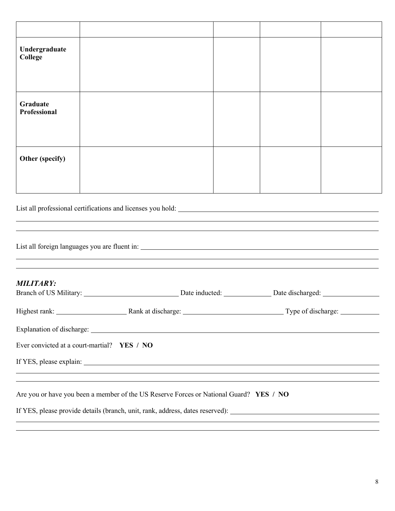| Undergraduate<br>College<br>Graduate<br><b>Professional</b><br>Other (specify)                                         |  |  |  |
|------------------------------------------------------------------------------------------------------------------------|--|--|--|
|                                                                                                                        |  |  |  |
|                                                                                                                        |  |  |  |
|                                                                                                                        |  |  |  |
| <b>MILITARY:</b><br>Ever convicted at a court-martial? YES / NO                                                        |  |  |  |
|                                                                                                                        |  |  |  |
|                                                                                                                        |  |  |  |
|                                                                                                                        |  |  |  |
|                                                                                                                        |  |  |  |
|                                                                                                                        |  |  |  |
|                                                                                                                        |  |  |  |
| <u> 1989 - Andrea Santana, amerikana amerikana amerikana amerikana amerikana amerikana amerikana amerikana amerika</u> |  |  |  |

Are you or have you been a member of the US Reserve Forces or National Guard? **YES / NO**

If YES, please provide details (branch, unit, rank, address, dates reserved):

 $\overline{a}$  $\overline{a}$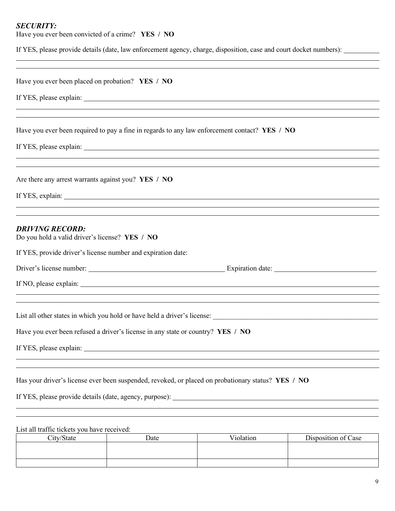## *SECURITY:*

Have you ever been convicted of a crime? **YES / NO**

If YES, please provide details (date, law enforcement agency, charge, disposition, case and court docket numbers):

|                                                                                 |      | ,我们也不会有什么。""我们的人,我们也不会有什么?""我们的人,我们也不会有什么?""我们的人,我们也不会有什么?""我们的人,我们也不会有什么?""我们的人                   |                     |
|---------------------------------------------------------------------------------|------|----------------------------------------------------------------------------------------------------|---------------------|
| Have you ever been placed on probation? YES / NO                                |      |                                                                                                    |                     |
|                                                                                 |      |                                                                                                    |                     |
|                                                                                 |      |                                                                                                    |                     |
|                                                                                 |      |                                                                                                    |                     |
|                                                                                 |      | Have you ever been required to pay a fine in regards to any law enforcement contact? YES / NO      |                     |
|                                                                                 |      |                                                                                                    |                     |
|                                                                                 |      |                                                                                                    |                     |
|                                                                                 |      | ,我们也不会有什么。""我们的人,我们也不会有什么?""我们的人,我们也不会有什么?""我们的人,我们也不会有什么?""我们的人,我们也不会有什么?""我们的人                   |                     |
| Are there any arrest warrants against you? YES / NO                             |      |                                                                                                    |                     |
|                                                                                 |      |                                                                                                    |                     |
|                                                                                 |      | ,我们也不会有什么。""我们的人,我们也不会有什么?""我们的人,我们也不会有什么?""我们的人,我们也不会有什么?""我们的人,我们也不会有什么?""我们的人                   |                     |
| <b>DRIVING RECORD:</b><br>Do you hold a valid driver's license? YES / NO        |      |                                                                                                    |                     |
|                                                                                 |      |                                                                                                    |                     |
| If YES, provide driver's license number and expiration date:                    |      |                                                                                                    |                     |
|                                                                                 |      |                                                                                                    |                     |
|                                                                                 |      |                                                                                                    |                     |
|                                                                                 |      |                                                                                                    |                     |
|                                                                                 |      |                                                                                                    |                     |
| Have you ever been refused a driver's license in any state or country? YES / NO |      |                                                                                                    |                     |
|                                                                                 |      |                                                                                                    |                     |
| If YES, please explain:                                                         |      |                                                                                                    |                     |
|                                                                                 |      |                                                                                                    |                     |
|                                                                                 |      | Has your driver's license ever been suspended, revoked, or placed on probationary status? YES / NO |                     |
|                                                                                 |      | If YES, please provide details (date, agency, purpose):                                            |                     |
|                                                                                 |      |                                                                                                    |                     |
|                                                                                 |      |                                                                                                    |                     |
| List all traffic tickets you have received:<br>City/State                       | Date | Violation                                                                                          | Disposition of Case |
|                                                                                 |      |                                                                                                    |                     |

| City/State | Date | /10lat10n | Disposition of Case |
|------------|------|-----------|---------------------|
|            |      |           |                     |
|            |      |           |                     |
|            |      |           |                     |
|            |      |           |                     |
|            |      |           |                     |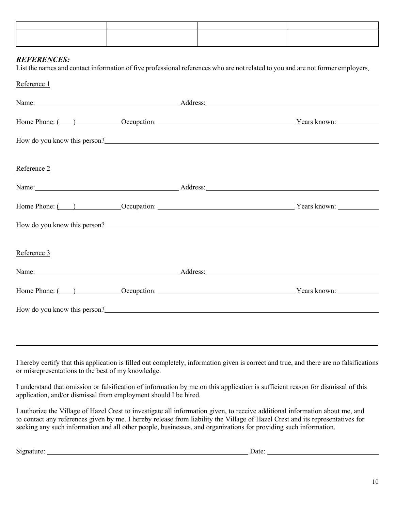#### *REFERENCES:*

List the names and contact information of five professional references who are not related to you and are not former employers.

Reference 1

|             | Name: <u>Name:</u> Address: Address: Address: Address: Address: Address: Address: Address: Address: Address: Address: Address: Address: Address: Address: Address: Address: Address: Address: Address: Address: Address: Address: A    |  |
|-------------|----------------------------------------------------------------------------------------------------------------------------------------------------------------------------------------------------------------------------------------|--|
|             |                                                                                                                                                                                                                                        |  |
|             | How do you know this person?<br><u>Letting</u> the second the second second second second second second second second second second second second second second second second second second second second second second second second  |  |
| Reference 2 |                                                                                                                                                                                                                                        |  |
|             | Name: <u>Address:</u> Address:                                                                                                                                                                                                         |  |
|             |                                                                                                                                                                                                                                        |  |
|             | How do you know this person?<br><u>Letting</u> the second the second second that the second second the second second second second second second second second second second second second second second second second second second   |  |
| Reference 3 |                                                                                                                                                                                                                                        |  |
|             | Name: Address: Address:                                                                                                                                                                                                                |  |
|             |                                                                                                                                                                                                                                        |  |
|             | How do you know this person?<br><u>Letter and the contract of the set of the set of the set of the set of the set of the set of the set of the set of the set of the set of the set of the set of the set of the set of the set of</u> |  |
|             |                                                                                                                                                                                                                                        |  |

I hereby certify that this application is filled out completely, information given is correct and true, and there are no falsifications or misrepresentations to the best of my knowledge.

I understand that omission or falsification of information by me on this application is sufficient reason for dismissal of this application, and/or dismissal from employment should I be hired.

I authorize the Village of Hazel Crest to investigate all information given, to receive additional information about me, and to contact any references given by me. I hereby release from liability the Village of Hazel Crest and its representatives for seeking any such information and all other people, businesses, and organizations for providing such information.

Signature: Date: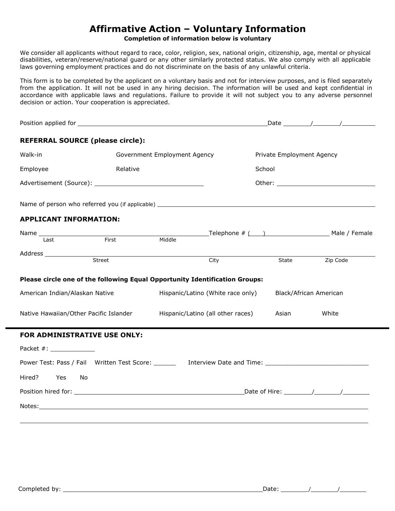# **Affirmative Action – Voluntary Information**

#### **Completion of information below is voluntary**

We consider all applicants without regard to race, color, religion, sex, national origin, citizenship, age, mental or physical disabilities, veteran/reserve/national guard or any other similarly protected status. We also comply with all applicable laws governing employment practices and do not discriminate on the basis of any unlawful criteria.

This form is to be completed by the applicant on a voluntary basis and not for interview purposes, and is filed separately from the application. It will not be used in any hiring decision. The information will be used and kept confidential in accordance with applicable laws and regulations. Failure to provide it will not subject you to any adverse personnel decision or action. Your cooperation is appreciated.

| <b>REFERRAL SOURCE (please circle):</b>                                                              |                              |                                                                             |                           |          |
|------------------------------------------------------------------------------------------------------|------------------------------|-----------------------------------------------------------------------------|---------------------------|----------|
| Walk-in                                                                                              | Government Employment Agency |                                                                             | Private Employment Agency |          |
| Employee                                                                                             | Relative                     |                                                                             | School                    |          |
|                                                                                                      |                              |                                                                             |                           |          |
|                                                                                                      |                              |                                                                             |                           |          |
| <b>APPLICANT INFORMATION:</b>                                                                        |                              |                                                                             |                           |          |
| Name Last First                                                                                      |                              | Telephone # ( ) Male / Female                                               |                           |          |
|                                                                                                      | Middle                       |                                                                             |                           |          |
|                                                                                                      |                              |                                                                             |                           |          |
|                                                                                                      | Street                       | City                                                                        | State                     | Zip Code |
|                                                                                                      |                              | Please circle one of the following Equal Opportunity Identification Groups: |                           |          |
| American Indian/Alaskan Native                                                                       |                              | Hispanic/Latino (White race only)                                           | Black/African American    |          |
| Native Hawaiian/Other Pacific Islander                                                               |                              | Hispanic/Latino (all other races)                                           | Asian                     | White    |
| <b>FOR ADMINISTRATIVE USE ONLY:</b>                                                                  |                              |                                                                             |                           |          |
| Packet #: _____________                                                                              |                              |                                                                             |                           |          |
| Power Test: Pass / Fail Written Test Score: _______ Interview Date and Time: _______________________ |                              |                                                                             |                           |          |
| Hired?<br>Yes<br>No                                                                                  |                              |                                                                             |                           |          |
|                                                                                                      |                              |                                                                             |                           |          |
|                                                                                                      |                              |                                                                             |                           |          |
|                                                                                                      |                              |                                                                             |                           |          |